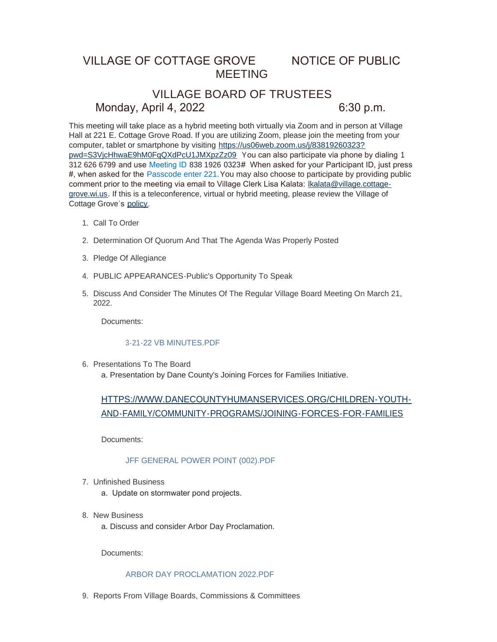## VILLAGE OF COTTAGE GROVE NOTICE OF PUBLIC MEETING

# VILLAGE BOARD OF TRUSTEES Monday, April 4, 2022 6:30 p.m.

This meeting will take place as a hybrid meeting both virtually via Zoom and in person at Village Hall at 221 E. Cottage Grove Road. If you are utilizing Zoom, please join the meeting from your computer, tablet or smartphone by visiting https://us06web.zoom.us/j/83819260323? pwd=S3VjcHhwaE9hM0FqQXdPcU1JMXpzZz09 Y[ou can also participate via phone by dialing](https://us06web.zoom.us/j/83819260323?pwd=S3VjcHhwaE9hM0FqQXdPcU1JMXpzZz09) 1 312 626 6799 and use Meeting ID 838 1926 0323# When asked for your Participant ID, just press #, when asked for the Passcode enter 221.You may also choose to participate by providing public comment prior to the meeting via email to Village Clerk Lisa Kalata: Ikalata@village.cottagegrove.wi.us. If this is a teleconference, virtual or hybrid meeting, plea[se review the Village of](mailto:lkalata@village.cottage-grove.wi.us)  Cottage Grove's [policy](https://www.vi.cottagegrove.wi.gov/DocumentCenter/View/1850/Virtual-Hybrid-Tele-meeting-Policy-Final).

- 1. Call To Order
- 2. Determination Of Quorum And That The Agenda Was Properly Posted
- 3. Pledge Of Allegiance
- PUBLIC APPEARANCES-Public's Opportunity To Speak 4.
- 5. Discuss And Consider The Minutes Of The Regular Village Board Meeting On March 21, 2022.

Documents:

## [3-21-22 VB MINUTES.PDF](https://www.vi.cottagegrove.wi.gov/AgendaCenter/ViewFile/Item/9803?fileID=19401)

6. Presentations To The Board a. Presentation by Dane County's Joining Forces for Families Initiative.

[HTTPS://WWW.DANECOUNTYHUMANSERVICES.ORG/CHILDREN-YOUTH-](https://www.danecountyhumanservices.org/Children-Youth-and-Family/Community-Programs/Joining-Forces-for-Families)AND-FAMILY/COMMUNITY-PROGRAMS/JOINING-FORCES-FOR-FAMILIES

Documents:

## [JFF GENERAL POWER POINT \(002\).PDF](https://www.vi.cottagegrove.wi.gov/AgendaCenter/ViewFile/Item/9824?fileID=19422)

- Unfinished Business 7.
	- a. Update on stormwater pond projects.
- 8. New Business
	- a. Discuss and consider Arbor Day Proclamation.

Documents:

#### [ARBOR DAY PROCLAMATION 2022.PDF](https://www.vi.cottagegrove.wi.gov/AgendaCenter/ViewFile/Item/9805?fileID=19402)

9. Reports From Village Boards, Commissions & Committees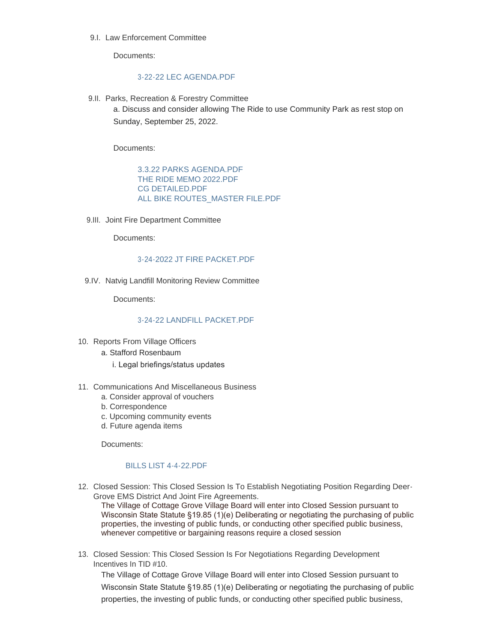9.I. Law Enforcement Committee

Documents:

## [3-22-22 LEC AGENDA.PDF](https://www.vi.cottagegrove.wi.gov/AgendaCenter/ViewFile/Item/9807?fileID=19403)

9.II. Parks, Recreation & Forestry Committee

a. Discuss and consider allowing The Ride to use Community Park as rest stop on Sunday, September 25, 2022.

Documents:

[3.3.22 PARKS AGENDA.PDF](https://www.vi.cottagegrove.wi.gov/AgendaCenter/ViewFile/Item/9808?fileID=19404) [THE RIDE MEMO 2022.PDF](https://www.vi.cottagegrove.wi.gov/AgendaCenter/ViewFile/Item/9808?fileID=19405) [CG DETAILED.PDF](https://www.vi.cottagegrove.wi.gov/AgendaCenter/ViewFile/Item/9808?fileID=19406) ALL BIKE ROUTES MASTER FILE.PDF

9.III. Joint Fire Department Committee

Documents:

## [3-24-2022 JT FIRE PACKET.PDF](https://www.vi.cottagegrove.wi.gov/AgendaCenter/ViewFile/Item/9809?fileID=19408)

9.IV. Natvig Landfill Monitoring Review Committee

Documents:

### [3-24-22 LANDFILL PACKET.PDF](https://www.vi.cottagegrove.wi.gov/AgendaCenter/ViewFile/Item/9810?fileID=19409)

- 10. Reports From Village Officers
	- a. Stafford Rosenbaum
		- i. Legal briefings/status updates
- 11. Communications And Miscellaneous Business
	- a. Consider approval of vouchers
	- b. Correspondence
	- c. Upcoming community events
	- d. Future agenda items

Documents:

## [BILLS LIST 4-4-22.PDF](https://www.vi.cottagegrove.wi.gov/AgendaCenter/ViewFile/Item/9833?fileID=19448)

Closed Session: This Closed Session Is To Establish Negotiating Position Regarding Deer-12. Grove EMS District And Joint Fire Agreements.

The Village of Cottage Grove Village Board will enter into Closed Session pursuant to Wisconsin State Statute §19.85 (1)(e) Deliberating or negotiating the purchasing of public properties, the investing of public funds, or conducting other specified public business, whenever competitive or bargaining reasons require a closed session

13. Closed Session: This Closed Session Is For Negotiations Regarding Development Incentives In TID #10.

The Village of Cottage Grove Village Board will enter into Closed Session pursuant to Wisconsin State Statute §19.85 (1)(e) Deliberating or negotiating the purchasing of public properties, the investing of public funds, or conducting other specified public business,